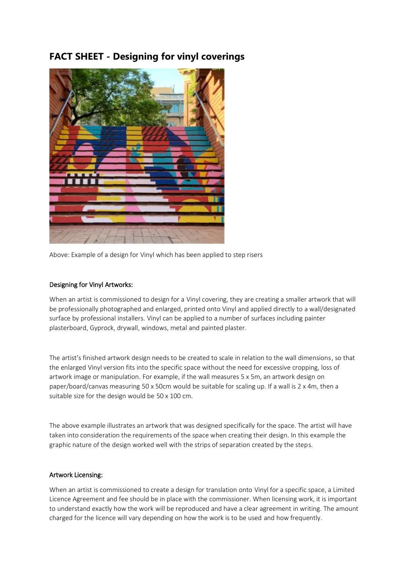## **FACT SHEET - Designing for vinyl coverings**



Above: Example of a design for Vinyl which has been applied to step risers

## Designing for Vinyl Artworks:

When an artist is commissioned to design for a Vinyl covering, they are creating a smaller artwork that will be professionally photographed and enlarged, printed onto Vinyl and applied directly to a wall/designated surface by professional installers. Vinyl can be applied to a number of surfaces including painter plasterboard, Gyprock, drywall, windows, metal and painted plaster.

The artist's finished artwork design needs to be created to scale in relation to the wall dimensions, so that the enlarged Vinyl version fits into the specific space without the need for excessive cropping, loss of artwork image or manipulation. For example, if the wall measures 5 x 5m, an artwork design on paper/board/canvas measuring 50 x 50cm would be suitable for scaling up. If a wall is 2 x 4m, then a suitable size for the design would be 50 x 100 cm.

The above example illustrates an artwork that was designed specifically for the space. The artist will have taken into consideration the requirements of the space when creating their design. In this example the graphic nature of the design worked well with the strips of separation created by the steps.

## Artwork Licensing:

When an artist is commissioned to create a design for translation onto Vinyl for a specific space, a Limited Licence Agreement and fee should be in place with the commissioner. When licensing work, it is important to understand exactly how the work will be reproduced and have a clear agreement in writing. The amount charged for the licence will vary depending on how the work is to be used and how frequently.